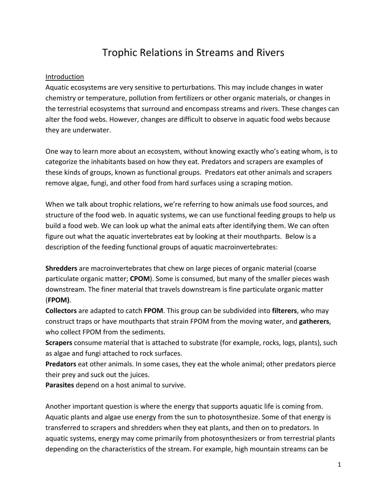# Trophic Relations in Streams and Rivers

### Introduction

Aquatic ecosystems are very sensitive to perturbations. This may include changes in water chemistry or temperature, pollution from fertilizers or other organic materials, or changes in the terrestrial ecosystems that surround and encompass streams and rivers. These changes can alter the food webs. However, changes are difficult to observe in aquatic food webs because they are underwater.

One way to learn more about an ecosystem, without knowing exactly who's eating whom, is to categorize the inhabitants based on how they eat. Predators and scrapers are examples of these kinds of groups, known as functional groups. Predators eat other animals and scrapers remove algae, fungi, and other food from hard surfaces using a scraping motion.

When we talk about trophic relations, we're referring to how animals use food sources, and structure of the food web. In aquatic systems, we can use functional feeding groups to help us build a food web. We can look up what the animal eats after identifying them. We can often figure out what the aquatic invertebrates eat by looking at their mouthparts. Below is a description of the feeding functional groups of aquatic macroinvertebrates:

**Shredders** are macroinvertebrates that chew on large pieces of organic material (coarse particulate organic matter; **CPOM**). Some is consumed, but many of the smaller pieces wash downstream. The finer material that travels downstream is fine particulate organic matter (**FPOM)**.

**Collectors** are adapted to catch **FPOM**. This group can be subdivided into **filterers**, who may construct traps or have mouthparts that strain FPOM from the moving water, and **gatherers**, who collect FPOM from the sediments.

**Scrapers** consume material that is attached to substrate (for example, rocks, logs, plants), such as algae and fungi attached to rock surfaces.

**Predators** eat other animals. In some cases, they eat the whole animal; other predators pierce their prey and suck out the juices.

**Parasites** depend on a host animal to survive.

Another important question is where the energy that supports aquatic life is coming from. Aquatic plants and algae use energy from the sun to photosynthesize. Some of that energy is transferred to scrapers and shredders when they eat plants, and then on to predators. In aquatic systems, energy may come primarily from photosynthesizers or from terrestrial plants depending on the characteristics of the stream. For example, high mountain streams can be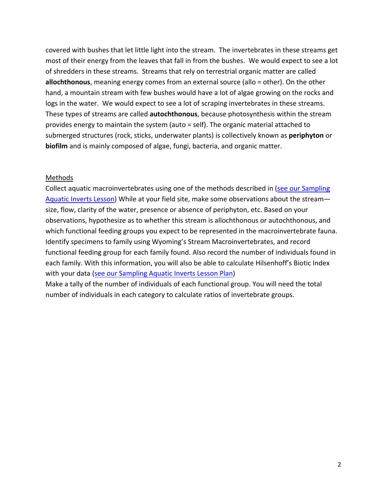covered with bushes that let little light into the stream. The invertebrates in these streams get most of their energy from the leaves that fall in from the bushes. We would expect to see a lot of shredders in these streams. Streams that rely on terrestrial organic matter are called **allochthonous**, meaning energy comes from an external source (allo = other). On the other hand, a mountain stream with few bushes would have a lot of algae growing on the rocks and logs in the water. We would expect to see a lot of scraping invertebrates in these streams. These types of streams are called **autochthonous**, because photosynthesis within the stream provides energy to maintain the system (auto = self). The organic material attached to submerged structures (rock, sticks, underwater plants) is collectively known as **periphyton** or **biofilm** and is mainly composed of algae, fungi, bacteria, and organic matter.

#### Methods

Collect aquatic macroinvertebrates using one of the methods described in [\(see our Sampling](http://wyostreammacroinvertebrates.com/teacher-resources/lesson-plans/)  [Aquatic](http://wyostreammacroinvertebrates.com/teacher-resources/lesson-plans/) Inverts Lesson) While at your field site, make some observations about the stream size, flow, clarity of the water, presence or absence of periphyton, etc. Based on your observations, hypothesize as to whether this stream is allochthonous or autochthonous, and which functional feeding groups you expect to be represented in the macroinvertebrate fauna. Identify specimens to family using Wyoming's Stream Macroinvertebrates, and record functional feeding group for each family found. Also record the number of individuals found in each family. With this information, you will also be able to calculate Hilsenhoff's Biotic Index with your data [\(see our Sampling Aquatic](http://wyostreammacroinvertebrates.com/teacher-resources/lesson-plans/) Inverts Lesson Plan) Make a tally of the number of individuals of each functional group. You will need the total

number of individuals in each category to calculate ratios of invertebrate groups.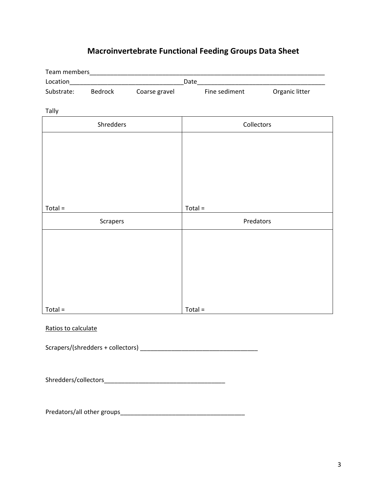## **Macroinvertebrate Functional Feeding Groups Data Sheet**

|           |                    |               | Date_         |                |  |
|-----------|--------------------|---------------|---------------|----------------|--|
|           | Substrate: Bedrock | Coarse gravel | Fine sediment | Organic litter |  |
|           |                    |               |               |                |  |
| Tally     |                    |               |               |                |  |
| Shredders |                    |               | Collectors    |                |  |
|           |                    |               |               |                |  |
|           |                    |               |               |                |  |
|           |                    |               |               |                |  |
|           |                    |               |               |                |  |
|           |                    |               |               |                |  |
|           |                    |               |               |                |  |
| $Total =$ |                    |               | $Total =$     |                |  |
| Scrapers  |                    |               | Predators     |                |  |
|           |                    |               |               |                |  |
|           |                    |               |               |                |  |
|           |                    |               |               |                |  |
|           |                    |               |               |                |  |
|           |                    |               |               |                |  |
|           |                    |               |               |                |  |
|           |                    |               |               |                |  |
| $Total =$ |                    |               | $Total =$     |                |  |

### Ratios to calculate

 $Scrapers/(shredders + collections) \label{eq:scrapers} \underline{\hspace{2cm}}$ 

Shredders/collectors\_\_\_\_\_\_\_\_\_\_\_\_\_\_\_\_\_\_\_\_\_\_\_\_\_\_\_\_\_\_\_\_\_\_\_

Predators/all other groups\_\_\_\_\_\_\_\_\_\_\_\_\_\_\_\_\_\_\_\_\_\_\_\_\_\_\_\_\_\_\_\_\_\_\_\_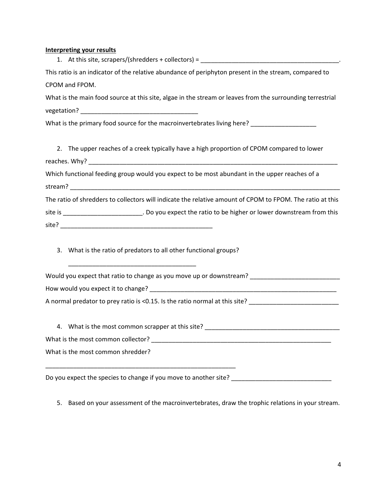| <b>Interpreting your results</b><br>1. At this site, scrapers/(shredders + collectors) = ___________________________ |  |  |  |  |  |
|----------------------------------------------------------------------------------------------------------------------|--|--|--|--|--|
| This ratio is an indicator of the relative abundance of periphyton present in the stream, compared to                |  |  |  |  |  |
| CPOM and FPOM.                                                                                                       |  |  |  |  |  |
| What is the main food source at this site, algae in the stream or leaves from the surrounding terrestrial            |  |  |  |  |  |
|                                                                                                                      |  |  |  |  |  |
| What is the primary food source for the macroinvertebrates living here?                                              |  |  |  |  |  |
|                                                                                                                      |  |  |  |  |  |
| 2. The upper reaches of a creek typically have a high proportion of CPOM compared to lower                           |  |  |  |  |  |
|                                                                                                                      |  |  |  |  |  |
| Which functional feeding group would you expect to be most abundant in the upper reaches of a                        |  |  |  |  |  |
|                                                                                                                      |  |  |  |  |  |
| The ratio of shredders to collectors will indicate the relative amount of CPOM to FPOM. The ratio at this            |  |  |  |  |  |
| site is __________________________. Do you expect the ratio to be higher or lower downstream from this               |  |  |  |  |  |
|                                                                                                                      |  |  |  |  |  |
|                                                                                                                      |  |  |  |  |  |

3. What is the ratio of predators to all other functional groups?

\_\_\_\_\_\_\_\_\_\_\_\_\_\_\_\_\_\_\_\_\_\_\_\_\_\_\_\_\_\_\_\_\_\_\_\_\_

\_\_\_\_\_\_\_\_\_\_\_\_\_\_\_\_\_\_\_\_\_\_\_\_\_\_\_\_\_\_\_\_\_\_\_\_\_\_\_\_\_\_\_\_\_\_\_\_\_\_\_\_\_\_\_

| Would you expect that ratio to change as you move up or downstream?         |  |  |  |  |  |  |
|-----------------------------------------------------------------------------|--|--|--|--|--|--|
| How would you expect it to change?                                          |  |  |  |  |  |  |
| A normal predator to prey ratio is <0.15. Is the ratio normal at this site? |  |  |  |  |  |  |
|                                                                             |  |  |  |  |  |  |

4. What is the most common scrapper at this site? \_\_\_\_\_\_\_\_\_\_\_\_\_\_\_\_\_\_\_\_\_\_\_\_\_\_\_\_\_\_\_\_\_\_\_\_\_\_\_ What is the most common collector? \_\_\_\_\_\_\_\_\_\_\_\_\_\_\_\_\_\_\_\_\_\_\_\_\_\_\_\_\_\_\_\_\_\_\_\_\_\_\_\_\_\_\_\_\_\_\_\_\_\_\_\_ What is the most common shredder?

Do you expect the species to change if you move to another site? \_\_\_\_\_\_\_\_\_\_\_\_\_\_\_\_\_\_\_\_\_\_\_\_\_\_\_\_\_

5. Based on your assessment of the macroinvertebrates, draw the trophic relations in your stream.